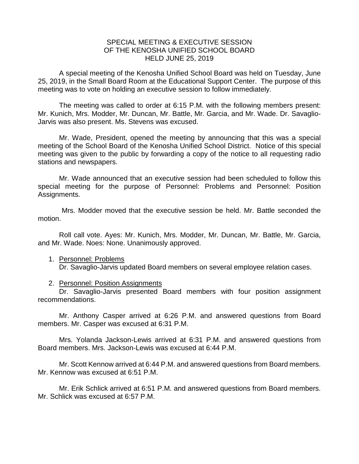## SPECIAL MEETING & EXECUTIVE SESSION OF THE KENOSHA UNIFIED SCHOOL BOARD HELD JUNE 25, 2019

A special meeting of the Kenosha Unified School Board was held on Tuesday, June 25, 2019, in the Small Board Room at the Educational Support Center. The purpose of this meeting was to vote on holding an executive session to follow immediately.

The meeting was called to order at 6:15 P.M. with the following members present: Mr. Kunich, Mrs. Modder, Mr. Duncan, Mr. Battle, Mr. Garcia, and Mr. Wade. Dr. Savaglio-Jarvis was also present. Ms. Stevens was excused.

Mr. Wade, President, opened the meeting by announcing that this was a special meeting of the School Board of the Kenosha Unified School District. Notice of this special meeting was given to the public by forwarding a copy of the notice to all requesting radio stations and newspapers.

Mr. Wade announced that an executive session had been scheduled to follow this special meeting for the purpose of Personnel: Problems and Personnel: Position Assignments.

Mrs. Modder moved that the executive session be held. Mr. Battle seconded the motion.

Roll call vote. Ayes: Mr. Kunich, Mrs. Modder, Mr. Duncan, Mr. Battle, Mr. Garcia, and Mr. Wade. Noes: None. Unanimously approved.

## 1. Personnel: Problems

Dr. Savaglio-Jarvis updated Board members on several employee relation cases.

## 2. Personnel: Position Assignments

Dr. Savaglio-Jarvis presented Board members with four position assignment recommendations.

Mr. Anthony Casper arrived at 6:26 P.M. and answered questions from Board members. Mr. Casper was excused at 6:31 P.M.

Mrs. Yolanda Jackson-Lewis arrived at 6:31 P.M. and answered questions from Board members. Mrs. Jackson-Lewis was excused at 6:44 P.M.

Mr. Scott Kennow arrived at 6:44 P.M. and answered questions from Board members. Mr. Kennow was excused at 6:51 P.M.

Mr. Erik Schlick arrived at 6:51 P.M. and answered questions from Board members. Mr. Schlick was excused at 6:57 P.M.